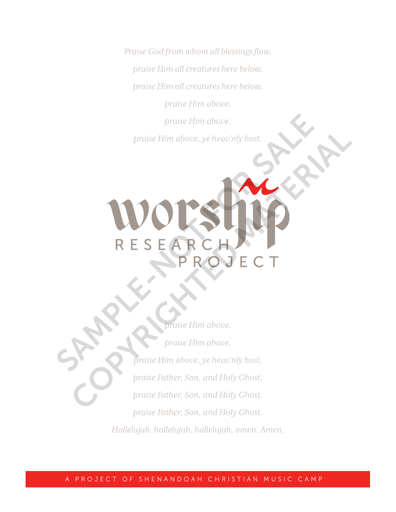*Praise God from whom all blessings flow, praise Him all creatures here below, praise Him all creatures here below, praise Him above, praise Him above, praise Him above, ye heav'nly host,*

# praise Him above, ye heavinly host,<br>praise Him above, ye heavinly host,<br>RESEARCH<br>PROVECT<br>SALE praise Him above,<br>praise Him above,<br>praise Him above,<br>praise Him above,<br>praise Him above,

*praise Him above, praise Him above, praise Him above, ye heav'nly host, praise Father, Son, and Holy Ghost, praise Father, Son, and Holy Ghost, praise Father, Son, and Holy Ghost. Hallelujah, hallelujah, hallelujah, amen. Amen.* praise Him above, ye heav nly host.<br>
R E S E AR C H<br>
R E S E AR C H<br>
praise Him above,<br>
praise Father, Son, and Holy Ghost,<br>
praise Father, Son, and Holy Ghost,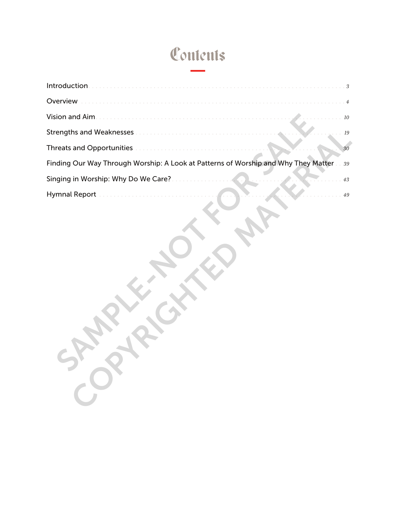## Contents

| Introduction.<br>3 <sup>l</sup>                                                              |
|----------------------------------------------------------------------------------------------|
| Overview<br>$\overline{4}$                                                                   |
| Vision and Aim.<br>10                                                                        |
| $19\,$                                                                                       |
| 30                                                                                           |
| Finding Our Way Through Worship: A Look at Patterns of Worship and Why They Matter<br>$39\,$ |
| Singing in Worship: Why Do We Care?<br><u> 1980 - Johann Barbara, martin a</u><br>43         |
| 49                                                                                           |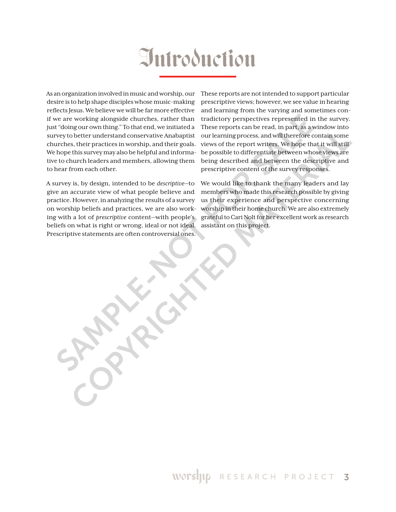# **Introduction**

As an organization involved in music and worship, our desire is to help shape disciples whose music-making reflects Jesus. We believe we will be far more effective if we are working alongside churches, rather than just "doing our own thing." To that end, we initiated a survey to better understand conservative Anabaptist churches, their practices in worship, and their goals. We hope this survey may also be helpful and informative to church leaders and members, allowing them to hear from each other. we are working alongside churches, rather than tradictory perspectives represented in the comparison of comparison and the responses and part, as a window the proportion of the response of the response of the report window

A survey is, by design, intended to be *descriptive*—to give an accurate view of what people believe and practice. However, in analyzing the results of a survey on worship beliefs and practices, we are also working with a lot of *prescriptive* content—with people's beliefs on what is right or wrong, ideal or not ideal. Prescriptive statements are often controversial ones. and one transmission and their geodicines are included to the transmission of the state in the state of the state of the space of the state of the space of the state of the space of the space of the state of this survey ma

These reports are not intended to support particular prescriptive views; however, we see value in hearing and learning from the varying and sometimes contradictory perspectives represented in the survey. These reports can be read, in part, as a window into our learning process, and will therefore contain some views of the report writers. We hope that it will still be possible to differentiate between whose views are being described and between the descriptive and prescriptive content of the survey responses.

We would like to thank the many leaders and lay members who made this research possible by giving us their experience and perspective concerning worship in their home church. We are also extremely grateful to Cari Nolt for her excellent work as research assistant on this project.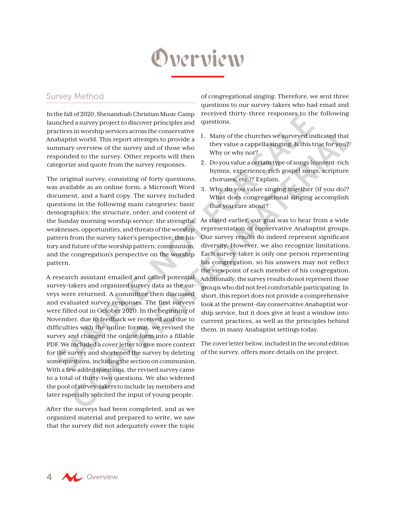# Overview

### Survey Method

In the fall of 2020, Shenandoah Christian Music Camp launched a survey project to discover principles and practices in worship services across the conservative Anabaptist world. This report attempts to provide a summary overview of the survey and of those who responded to the survey. Other reports will then categorize and quote from the survey responses.

The original survey, consisting of forty questions, was available as an online form, a Microsoft Word document, and a hard copy. The survey included questions in the following main categories: basic demographics; the structure, order, and content of the Sunday morning worship service; the strengths, weaknesses, opportunities, and threats of the worship pattern from the survey-taker's perspective; the history and future of the worship pattern; communion; and the congregation's perspective on the worship pattern.

A research assistant emailed and called potential survey-takers and organized survey data as the surveys were returned. A committee then discussed and evaluated survey responses. The first surveys were filled out in October 2020. In the beginning of November, due to feedback we received and due to difficulties with the online format, we revised the survey and changed the online form into a fillable PDF. We included a cover letter to give more context for the survey and shortened the survey by deleting some questions, including the section on communion. With a few added questions, the revised survey came to a total of thirty-two questions. We also widened the pool of survey-takers to include lay members and later especially solicited the input of young people.

After the surveys had been completed, and as we organized material and prepared to write, we saw that the survey did not adequately cover the topic of congregational singing. Therefore, we sent three questions to our survey-takers who had email and received thirty-three responses to the following questions.

- 1. Many of the churches we surveyed indicated that they value a cappella singing. Is this true for you? Why or why not?
- 2. Do you value a certain type of songs (content-rich hymns, experience-rich gospel songs, scripture choruses, etc.)? Explain.
- 3. Why do you value singing together (if you do)? What does congregational singing accomplish that you care about?

As stated earlier, our goal was to hear from a wide representation of conservative Anabaptist groups. Our survey results do indeed represent significant diversity. However, we also recognize limitations. Each survey-taker is only one person representing his congregation, so his answers may not reflect the viewpoint of each member of his congregation. Additionally, the survey results do not represent those groups who did not feel comfortable participating. In short, this report does not provide a comprehensive look at the present-day conservative Anabaptist worship service, but it does give at least a window into current practices, as well as the principles behind them, in many Anabaptist settings today. The initial of the constraints has cample received unity-time responses to the incredible and the constraints has the constraints of the same procedure of the same procedure in while procedure and about the same applicati sin worship services across the conservative<br>controlline-transity of the surveyed nucleated that six worder. This report attempts to provide a<br>1. Many of the curvey solution a cappella singing, is his true to ryon?<br>
thed

The cover letter below, included in the second edition of the survey, offers more details on the project.

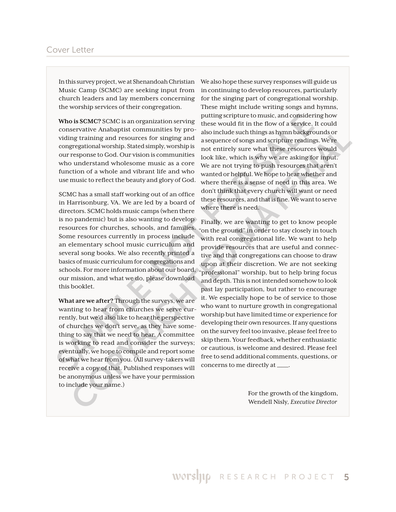In this survey project, we at Shenandoah Christian Music Camp (SCMC) are seeking input from church leaders and lay members concerning the worship services of their congregation.

**Who is SCMC?** SCMC is an organization serving conservative Anabaptist communities by providing training and resources for singing and congregational worship. Stated simply, worship is our response to God. Our vision is communities who understand wholesome music as a core function of a whole and vibrant life and who use music to reflect the beauty and glory of God.

SCMC has a small staff working out of an office in Harrisonburg, VA. We are led by a board of directors. SCMC holds music camps (when there is no pandemic) but is also wanting to develop resources for churches, schools, and families. "on the ground" in order to stay closely in touch Some resources currently in process include an elementary school music curriculum and several song books. We also recently printed a basics of music curriculum for congregations and schools. For more information about our board, our mission, and what we do, please download this booklet.

**What are we after?** Through the surveys, we are wanting to hear from churches we serve currently, but we'd also like to hear the perspective of churches we don't serve, as they have something to say that we need to hear. A committee is working to read and consider the surveys; eventually, we hope to compile and report some of what we hear from you. (All survey-takers will receive a copy of that. Published responses will be anonymous unless we have your permission to include your name.)

We also hope these survey responses will guide us in continuing to develop resources, particularly for the singing part of congregational worship. These might include writing songs and hymns, putting scripture to music, and considering how these would fit in the flow of a service. It could also include such things as hymn backgrounds or a sequence of songs and scripture readings. We're not entirely sure what these resources would look like, which is why we are asking for input. We are not trying to push resources that aren't wanted or helpful. We hope to hear whether and where there is a sense of need in this area. We don't think that every church will want or need these resources, and that is fine. We want to serve where there is need.

Finally, we are wanting to get to know people with real congregational life. We want to help provide resources that are useful and connective and that congregations can choose to draw upon at their discretion. We are not seeking "professional" worship, but to help bring focus and depth. This is not intended somehow to look past lay participation, but rather to encourage it. We especially hope to be of service to those who want to nurture growth in congregational worship but have limited time or experience for developing their own resources. If any questions on the survey feel too invasive, please feel free to skip them. Your feedback, whether enthusiastic or cautious, is welcome and desired. Please feel free to send additional comments, questions, or concerns to me directly at \_\_\_\_\_. Who is SCMC? SCMC is an organization serving the<br>fits gescript the coust of a service. It comissions provide the sound of the<br>forest constrained the voltage response of singing and resources for singing and<br> $\frac{1}{2}$  of a servative Analogitis communities by pro- also include such things as hypm backgrounds or<br>experimental and resources for singing and a sequence of songs and scripture readings. We respect<br>to the comparatory in State simply

For the growth of the kingdom, Wendell Nisly, *Executive Director*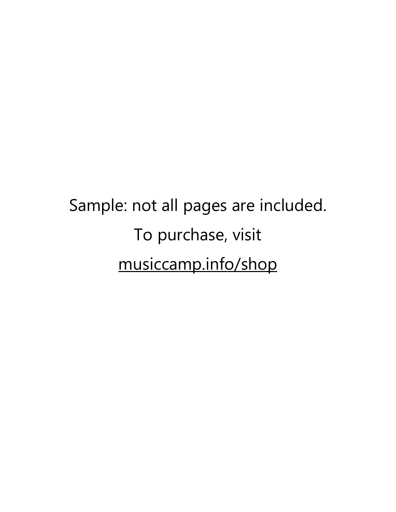# Sample: not all pages are included. To purchase, visit musiccamp.info/shop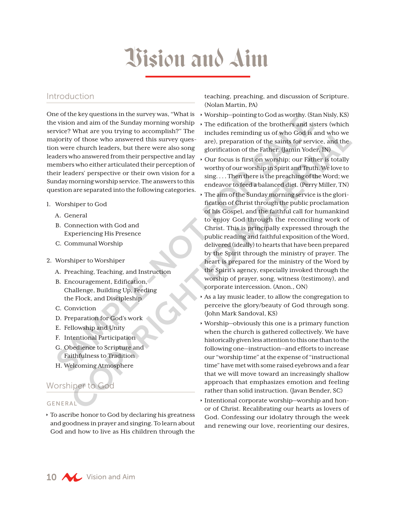# Vision and Aim

### Introduction

One of the key questions in the survey was,"What is the vision and aim of the Sunday morning worship service? What are you trying to accomplish?" The majority of those who answered this survey question were church leaders, but there were also song leaders who answered from their perspective and lay members who either articulated their perception of their leaders' perspective or their own vision for a Sunday morning worship service. The answers to this question are separated into the following categories.

- 1. Worshiper to God
	- A. General
	- B. Connection with God and Experiencing His Presence
	- C. Communal Worship
- 2. Worshiper to Worshiper
	- A. Preaching, Teaching, and Instruction
	- B. Encouragement, Edification, Challenge, Building Up, Feeding the Flock, and Discipleship
	- C. Conviction
	- D. Preparation for God's work
	- E. Fellowship and Unity
	- F. Intentional Participation
	- G. Obedience to Scripture and Faithfulness to Tradition
	- H. Welcoming Atmosphere

### Worshiper to God

### GENERAL

 $\rightarrow$  To ascribe honor to God by declaring his greatness and goodness in prayer and singing. To learn about God and how to live as His children through the

teaching, preaching, and discussion of Scripture. (Nolan Martin, PA)

- $\rightarrow$  Worship—pointing to God as worthy. (Stan Nisly, KS)
- The edification of the brothers and sisters (which includes reminding us of who God is and who we are), preparation of the saints for service, and the glorification of the Father. (Jamin Yoder, IN)
- Our focus is first on worship; our Father is totally worthy of our worship in Spirit and Truth. We love to sing. . . . Then there is the preaching of the Word; we endeavor to feed a balanced diet. (Perry Miller, TN)
- If The aim of the Sunday morning service is the glorification of Christ through the public proclamation of his Gospel, and the faithful call for humankind to enjoy God through the reconciling work of Christ. This is principally expressed through the public reading and faithful exposition of the Word, delivered (ideally) to hearts that have been prepared by the Spirit through the ministry of prayer. The heart is prepared for the ministry of the Word by the Spirit's agency, especially invoked through the worship of prayer, song, witness (testimony), and corporate intercession. (Anon., ON) e of the Key questions and the summing to the serve the serve the serve to the serve to the serve to the serve to the state point of the burder State in the state point of the burder State in the state point of the state i What are you triving to calculate remainding us of who God is and who we<br>
yo of those who answered this survey questing the include semination of the samis for service, and the<br>
ee church leaders, but there were also song
	- As a lay music leader, to allow the congregation to perceive the glory/beauty of God through song. (John Mark Sandoval, KS)
	- $\rightarrow$  Worship-obviously this one is a primary function when the church is gathered collectively. We have historically given less attention to this one than to the following one—instruction—and efforts to increase our "worship time" at the expense of "instructional time" have met with some raised eyebrows and a fear that we will move toward an increasingly shallow approach that emphasizes emotion and feeling rather than solid instruction. (Javan Bender, SC)
	- Intentional corporate worship—worship and honor of Christ. Recalibrating our hearts as lovers of God. Confessing our idolatry through the week and renewing our love, reorienting our desires,

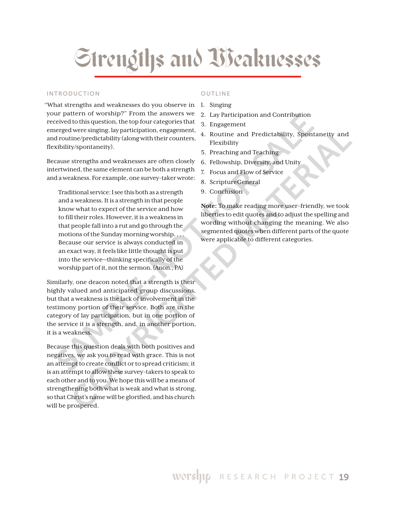# Strengths and Weaknesses

### INTRODUCTION

"What strengths and weaknesses do you observe in 1. Singing your pattern of worship?" From the answers we received to this question, the top four categories that emerged were singing, lay participation, engagement, and routine/predictability (along with their counters, flexibility/spontaneity).

Because strengths and weaknesses are often closely intertwined, the same element can be both a strength and a weakness. For example, one survey-taker wrote:

Traditional service: I see this both as a strength and a weakness. It is a strength in that people know what to expect of the service and how to fill their roles. However, it is a weakness in that people fall into a rut and go through the motions of the Sunday morning worship. . . . Because our service is always conducted in an exact way, it feels like little thought is put into the service—thinking specifically of the worship part of it, not the sermon. (Anon., PA) Ir partier or worstnipy "rorm in a masswer set and the simulation and Contribution<br>
trigradero do this question, the top four categories that 3. Engagement<br>
recrete do this questicality (long with their counters,  $\frac{1}{2}$ Were singing, lay participation, cropagement, 4. Routine and Predictability, Spontancity and<br>time/predictability/slong with their counters,<br>5. Preaching and Teaching<br>1/y/spontaneity).<br>5. Predicting and Teaching<br>strengths a

Similarly, one deacon noted that a strength is their highly valued and anticipated group discussions, but that a weakness is the lack of involvement in the testimony portion of their service. Both are in the category of lay participation, but in one portion of the service it is a strength, and, in another portion, it is a weakness.

Because this question deals with both positives and negatives, we ask you to read with grace. This is not an attempt to create conflict or to spread criticism; it is an attempt to allow these survey-takers to speak to each other and to you. We hope this will be a means of strengthening both what is weak and what is strong, so that Christ's name will be glorified, and his church will be prospered.

### OUTLINE

- 
- 2. Lay Participation and Contribution
- 3. Engagement
- 4. Routine and Predictability, Spontaneity and Flexibility
- 5. Preaching and Teaching
- 6. Fellowship, Diversity, and Unity
- 7. Focus and Flow of Service
- 8. ScriptureGeneral
- 9. Conclusion

**Note:** To make reading more user-friendly, we took liberties to edit quotes and to adjust the spelling and wording without changing the meaning. We also segmented quotes when different parts of the quote were applicable to different categories.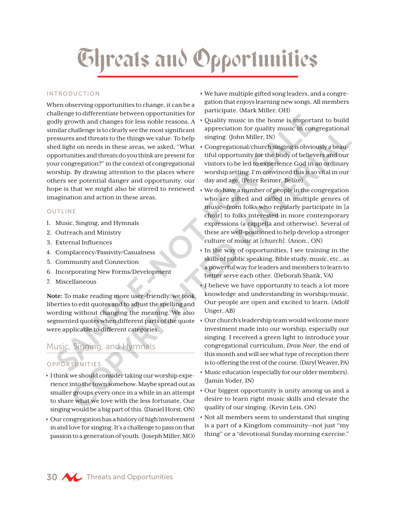# **Threats and Opportunities**

### INTRODUCTION

When observing opportunities to change, it can be a challenge to differentiate between opportunities for godly growth and changes for less noble reasons. A similar challenge is to clearly see the most significant pressures and threats to the things we value. To help shed light on needs in these areas, we asked, "What opportunities and threats do you think are present for your congregation?" in the context of congregational worship. By drawing attention to the places where others see potential danger and opportunity, our hope is that we might also be stirred to renewed imagination and action in these areas. Final endependent product and the state of the state of the state of the state of the state of the state of the state of the state of the state of the state of the state of the state of the state of the state of the state Analogo is to clearly see the most significant<br>
the angulary (siden and three acts we also said threats to the things we value. To hen singing, (folm Miller, IN)<br>
and threats in these areas, we asked, "What + Congregation

### OUTLINE

- 1. Music, Singing, and Hymnals
- 2. Outreach and Ministry
- 3. External Influences
- 4. Complacency/Passivity/Casualness
- 5. Community and Connection
- 6. Incorporating New Forms/Development
- 7. Miscellaneous

**Note:** To make reading more user-friendly, we took liberties to edit quotes and to adjust the spelling and wording without changing the meaning. We also segmented quotes when different parts of the quote were applicable to different categories.

### Music, Singing, and Hymnals

### OPPORTUNITIES

- I think we should consider taking our worship experience into the town somehow. Maybe spread out as smaller groups every once in a while in an attempt to share what we love with the less fortunate. Our singing would be a big part of this. (Daniel Horst, ON)
- **Our congregation has a history of high involvement** in and love for singing. It's a challenge to pass on that passion to a generation of youth. (Joseph Miller, MO)
- $\rightarrow$  We have multiple gifted song leaders, and a congregation that enjoys learning new songs. All members participate. (Mark Miller, OH)
- Quality music in the home is important to build appreciation for quality music in congregational singing. (John Miller, IN)
- Congregational/church singing is obviously a beautiful opportunity for the body of believers and our visitors to be led to experience God in an ordinary worship setting. I'm convinced this is so vital in our day and age. (Peter Reimer, Belize)
- $\rightarrow$  We do have a number of people in the congregation who are gifted and called in multiple genres of music—from folks who regularly participate in [a choir] to folks interested in more contemporary expressions (a cappella and otherwise). Several of these are well-positioned to help develop a stronger culture of music at [church]. (Anon., ON)
- In the way of opportunities, I see training in the skills of public speaking, Bible study, music, etc., as a powerful way for leaders and members to learn to better serve each other. (Deborah Shank, VA)
- I believe we have opportunity to teach a lot more knowledge and understanding in worship/music. Our people are open and excited to learn. (Adolf Unger, AB)
- Our church's leadership team would welcome more investment made into our worship, especially our singing. I received a green light to introduce your congregational curriculum, *Draw Near*, the end of this month and will see what type of reception there is to offering the rest of the course. (Daryl Weaver, PA)
- $\rightarrow$  Music education (especially for our older members). (Jamin Yoder, IN)
- $\cdot$  Our biggest opportunity is unity among us and a desire to learn right music skills and elevate the quality of our singing. (Kevin Leis, ON)
- Not all members seem to understand that singing is a part of a Kingdom community—not just "my thing" or a "devotional Sunday morning exercise."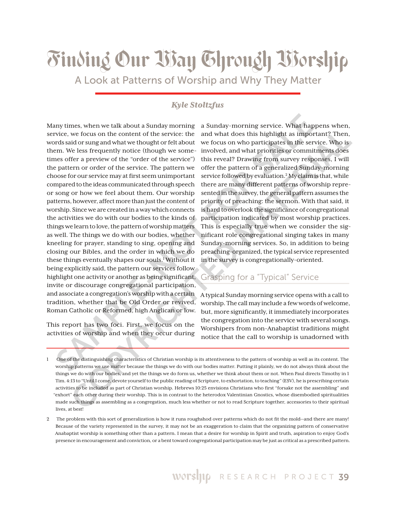# Finding Our Way Through Worship

A Look at Patterns of Worship and Why They Matter

### *Kyle Stoltzfus*

Many times, when we talk about a Sunday morning a Sunday-morning service. What happens when, service, we focus on the content of the service: the words said or sung and what we thought or felt about them. We less frequently notice (though we sometimes offer a preview of the "order of the service") the pattern or order of the service. The pattern we choose for our service may at first seem unimportant compared to the ideas communicated through speech or song or how we feel about them. Our worship patterns, however, affect more than just the content of worship. Since we are created in a way which connects the activities we do with our bodies to the kinds of things we learn to love, the pattern of worship matters as well. The things we do with our bodies, whether kneeling for prayer, standing to sing, opening and closing our Bibles, and the order in which we do these things eventually shapes our souls.<sup>1</sup> Without it being explicitly said, the pattern our services follow highlight one activity or another as being significant, invite or discourage congregational participation, and associate a congregation's worship with a certain tradition, whether that be Old Order or revived, Roman Catholic or Reformed, high Anglican or low. my times, when we talk about a Sunday morning a Sunday-morning service. What happent with the service is a sunday morning and what does this highlight as important suide of the service of the service. The and what chose i we focus on the content of the service: the<br>
we focus on the content of the service: the<br>
and what does this highlight as important? Then, the cost of the service of<br>
the service we operator of the solution of the solutio

This report has two foci. First, we focus on the activities of worship and when they occur during and what does this highlight as important? Then, we focus on who participates in the service. Who is involved, and what priorities or commitments does this reveal? Drawing from survey responses, I will offer the pattern of a generalized Sunday-morning service followed by evaluation.<sup>2</sup> My claim is that, while there are many different patterns of worship represented in the survey, the general pattern assumes the priority of preaching: the sermon. With that said, it is hard to overlook the significance of congregational participation indicated by most worship practices. This is especially true when we consider the significant role congregational singing takes in many Sunday-morning services. So, in addition to being preaching-organized, the typical service represented in the survey is congregationally-oriented.

### Grasping for a "Typical" Service

A typical Sunday morning service opens with a call to worship. The call may include a few words of welcome, but, more significantly, it immediately incorporates the congregation into the service with several songs. Worshipers from non-Anabaptist traditions might notice that the call to worship is unadorned with

- 1 One of the distinguishing characteristics of Christian worship is its attentiveness to the pattern of worship as well as its content. The worship patterns we use matter because the things we do with our bodies matter. Putting it plainly, we do not always think about the things we do with our bodies, and yet the things we do form us, whether we think about them or not. When Paul directs Timothy in 1 Tim. 4:13 to "Until I come, devote yourself to the public reading of Scripture, to exhortation, to teaching" (ESV), he is prescribing certain activities to be included as part of Christian worship. Hebrews 10:25 envisions Christians who first "forsake not the assembling" and "exhort" each other during their worship. This is in contrast to the heterodox Valentinian Gnostics, whose disembodied spiritualities made such things as assembling as a congregation, much less whether or not to read Scripture together, accessories to their spiritual lives, at best!
- 2 The problem with this sort of generalization is how it runs roughshod over patterns which do not fit the mold—and there are many! Because of the variety represented in the survey, it may not be an exaggeration to claim that the organizing pattern of conservative Anabaptist worship is something other than a pattern. I mean that a desire for worship in Spirit and truth, aspiration to enjoy God's presence in encouragement and conviction, or a bent toward congregational participation may be just as critical as a prescribed pattern.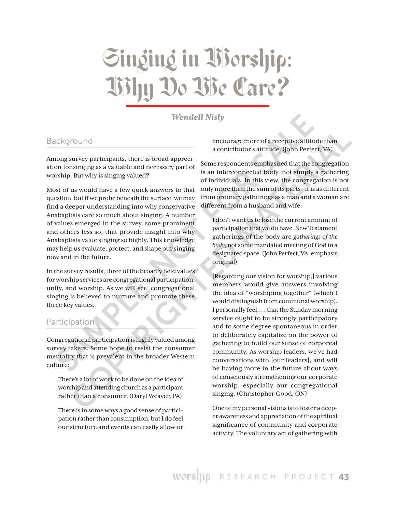# Singing in Worship: Why Do We Care?

### *Wendell Nisly*

### Background

Among survey participants, there is broad appreciation for singing as a valuable and necessary part of worship. But why is singing valued?

Most of us would have a few quick answers to that question, but if we probe beneath the surface, we may find a deeper understanding into why conservative Anabaptists care so much about singing. A number of values emerged in the survey, some prominent and others less so, that provide insight into why Anabaptists value singing so highly. This knowledge may help us evaluate, protect, and shape our singing now and in the future.

In the survey results, three of the broadly held values for worship services are congregational participation, unity, and worship. As we will see, congregational singing is believed to nurture and promote these three key values.

### Participation

Congregational participation is highly valued among survey takers. Some hope to resist the consumer mentality that is prevalent in the broader Western culture:

There's a lot of work to be done on the idea of worship and attending church as a participant rather than a consumer. (Daryl Weaver, PA)

There is in some ways a good sense of participation rather than consumption, but I do feel our structure and events can easily allow or encourage more of a receptive attitude than a contributor's attitude. (John Perfect, VA)

Some respondents emphasized that the congregation is an interconnected body, not simply a gathering of individuals. In this view, the congregation is not only more than the sum of its parts—it is as different from ordinary gatherings as a man and a woman are different from a husband and wife.

I don't want us to lose the current amount of participation that we do have. New Testament gatherings of the body are *gatherings of the body*, not some mandated meeting of God in a designated space. (John Perfect, VA, emphasis original)

[Regarding our vision for worship,] various members would give answers involving the idea of "worshiping together" (which I would distinguish from communal worship). I personally feel . . . that the Sunday morning service ought to be strongly participatory and to some degree spontaneous in order to deliberately capitalize on the power of gathering to build our sense of corporeal community. As worship leaders, we've had conversations with [our leaders], and will be having more in the future about ways of consciously strengthening our corporate worship, especially our congregational singing. (Christopher Good, ON)  $We model I Nisly  
\nlong systems, there is broad appreci-  
\nnon for singing and the necessary part of  
\non for singing as a valuable and necessary part of  
\non for singing as a valuable and necessary part of  
\n
$$
S\text{min}(\text{mod} \, \text{mod} \, \text{mod} \, \text{mod} \, \text{mod} \, \text{mod} \, \text{mod} \, \text{mod} \, \text{mod} \, \text{mod} \, \text{mod} \, \text{mod} \, \text{mod} \, \text{mod} \, \text{mod} \, \text{mod} \, \text{mod} \, \text{mod} \, \text{mod} \, \text{mod} \, \text{mod} \
$$$ Found encourage more of a receptive altitude than<br>
a contributor's attitude (folm Perfect, VA)<br>
is risinging as a valuable and necessary part of<br>
Some respondents emphasized that the congregation<br>
But why is singing valued

One of my personal visions is to foster a deeper awareness and appreciation of the spiritual significance of community and corporate activity. The voluntary act of gathering with